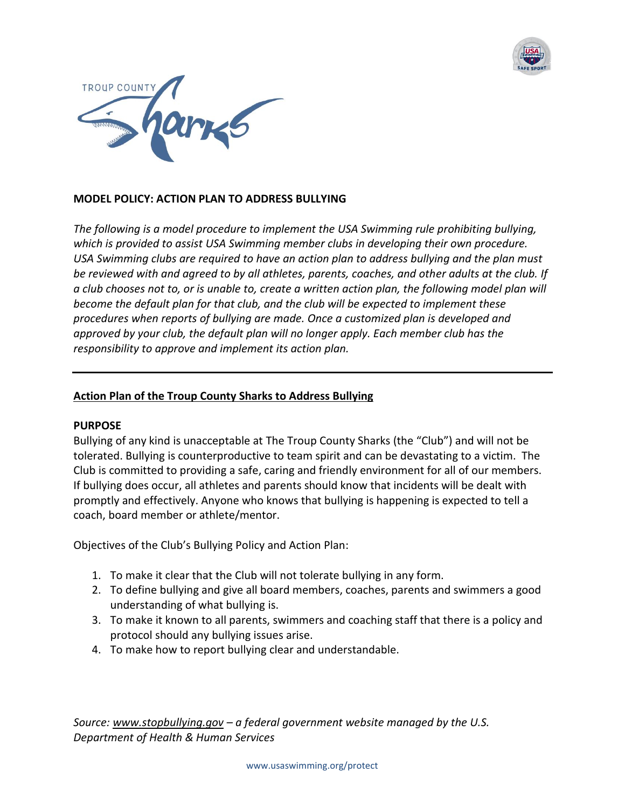



# **MODEL POLICY: ACTION PLAN TO ADDRESS BULLYING**

*The following is a model procedure to implement the USA Swimming rule prohibiting bullying, which is provided to assist USA Swimming member clubs in developing their own procedure. USA Swimming clubs are required to have an action plan to address bullying and the plan must be reviewed with and agreed to by all athletes, parents, coaches, and other adults at the club. If a club chooses not to, or is unable to, create a written action plan, the following model plan will become the default plan for that club, and the club will be expected to implement these procedures when reports of bullying are made. Once a customized plan is developed and approved by your club, the default plan will no longer apply. Each member club has the responsibility to approve and implement its action plan.*

### **Action Plan of the Troup County Sharks to Address Bullying**

#### **PURPOSE**

Bullying of any kind is unacceptable at The Troup County Sharks (the "Club") and will not be tolerated. Bullying is counterproductive to team spirit and can be devastating to a victim. The Club is committed to providing a safe, caring and friendly environment for all of our members. If bullying does occur, all athletes and parents should know that incidents will be dealt with promptly and effectively. Anyone who knows that bullying is happening is expected to tell a coach, board member or athlete/mentor.

Objectives of the Club's Bullying Policy and Action Plan:

- 1. To make it clear that the Club will not tolerate bullying in any form.
- 2. To define bullying and give all board members, coaches, parents and swimmers a good understanding of what bullying is.
- 3. To make it known to all parents, swimmers and coaching staff that there is a policy and protocol should any bullying issues arise.
- 4. To make how to report bullying clear and understandable.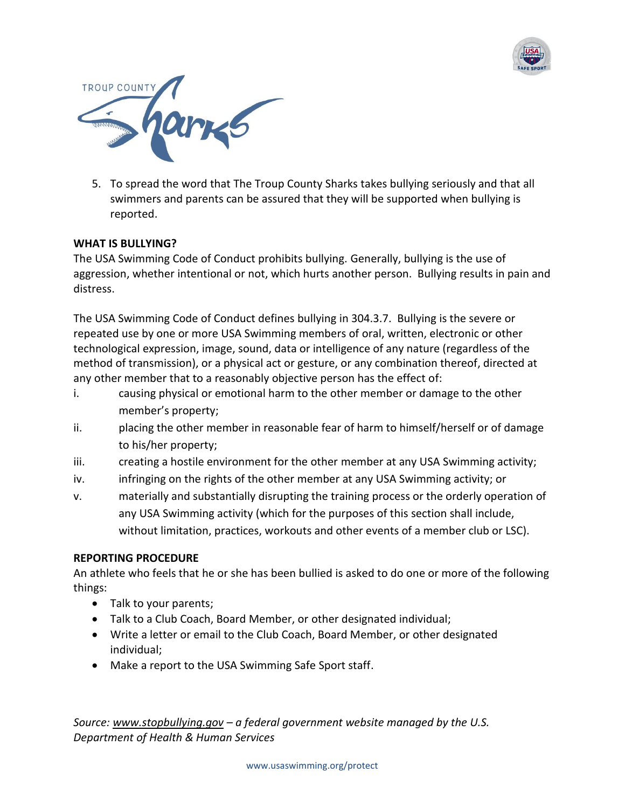



5. To spread the word that The Troup County Sharks takes bullying seriously and that all swimmers and parents can be assured that they will be supported when bullying is reported.

### **WHAT IS BULLYING?**

The USA Swimming Code of Conduct prohibits bullying. Generally, bullying is the use of aggression, whether intentional or not, which hurts another person. Bullying results in pain and distress.

The USA Swimming Code of Conduct defines bullying in 304.3.7. Bullying is the severe or repeated use by one or more USA Swimming members of oral, written, electronic or other technological expression, image, sound, data or intelligence of any nature (regardless of the method of transmission), or a physical act or gesture, or any combination thereof, directed at any other member that to a reasonably objective person has the effect of:

- i. causing physical or emotional harm to the other member or damage to the other member's property;
- ii. placing the other member in reasonable fear of harm to himself/herself or of damage to his/her property;
- iii. creating a hostile environment for the other member at any USA Swimming activity;
- iv. infringing on the rights of the other member at any USA Swimming activity; or
- v. materially and substantially disrupting the training process or the orderly operation of any USA Swimming activity (which for the purposes of this section shall include, without limitation, practices, workouts and other events of a member club or LSC).

### **REPORTING PROCEDURE**

An athlete who feels that he or she has been bullied is asked to do one or more of the following things:

- Talk to your parents;
- Talk to a Club Coach, Board Member, or other designated individual;
- Write a letter or email to the Club Coach, Board Member, or other designated individual;
- Make a report to the USA Swimming Safe Sport staff.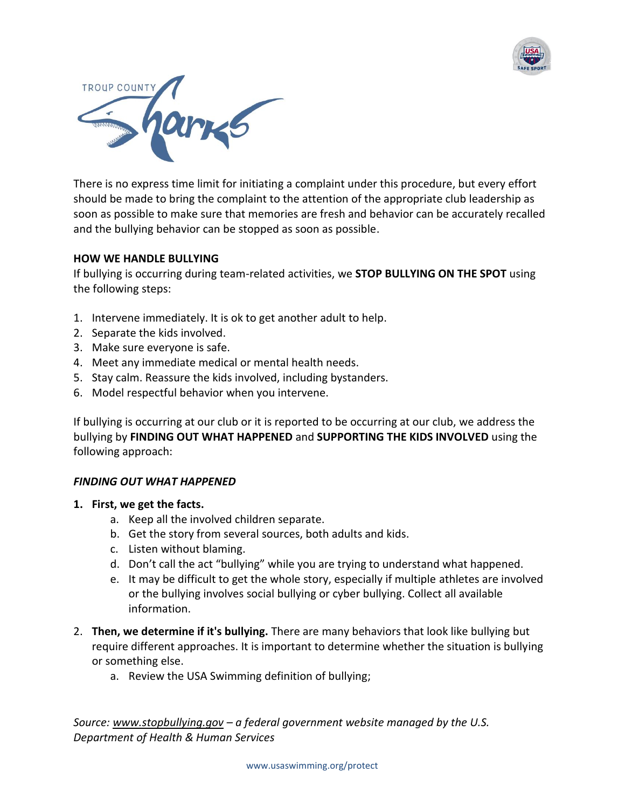



There is no express time limit for initiating a complaint under this procedure, but every effort should be made to bring the complaint to the attention of the appropriate club leadership as soon as possible to make sure that memories are fresh and behavior can be accurately recalled and the bullying behavior can be stopped as soon as possible.

### **HOW WE HANDLE BULLYING**

If bullying is occurring during team-related activities, we **STOP BULLYING ON THE SPOT** using the following steps:

- 1. Intervene immediately. It is ok to get another adult to help.
- 2. Separate the kids involved.
- 3. Make sure everyone is safe.
- 4. Meet any immediate medical or mental health needs.
- 5. Stay calm. Reassure the kids involved, including bystanders.
- 6. Model respectful behavior when you intervene.

If bullying is occurring at our club or it is reported to be occurring at our club, we address the bullying by **FINDING OUT WHAT HAPPENED** and **SUPPORTING THE KIDS INVOLVED** using the following approach:

### *FINDING OUT WHAT HAPPENED*

- **1. First, we get the facts.** 
	- a. Keep all the involved children separate.
	- b. Get the story from several sources, both adults and kids.
	- c. Listen without blaming.
	- d. Don't call the act "bullying" while you are trying to understand what happened.
	- e. It may be difficult to get the whole story, especially if multiple athletes are involved or the bullying involves [social bullying](http://www.stopbullying.gov/what-is-bullying/definition/index.html#social) or cyber [bullying.](http://www.stopbullying.gov/cyberbullying/index.html) Collect all available information.
- 2. **Then, we determine if it's bullying.** There are [many behaviors that look like bullying](http://www.stopbullying.gov/what-is-bullying/related-topics/index.html) but require different approaches. It is important to determine whether the situation is bullying or something else.
	- a. Review the USA Swimming definition of bullying;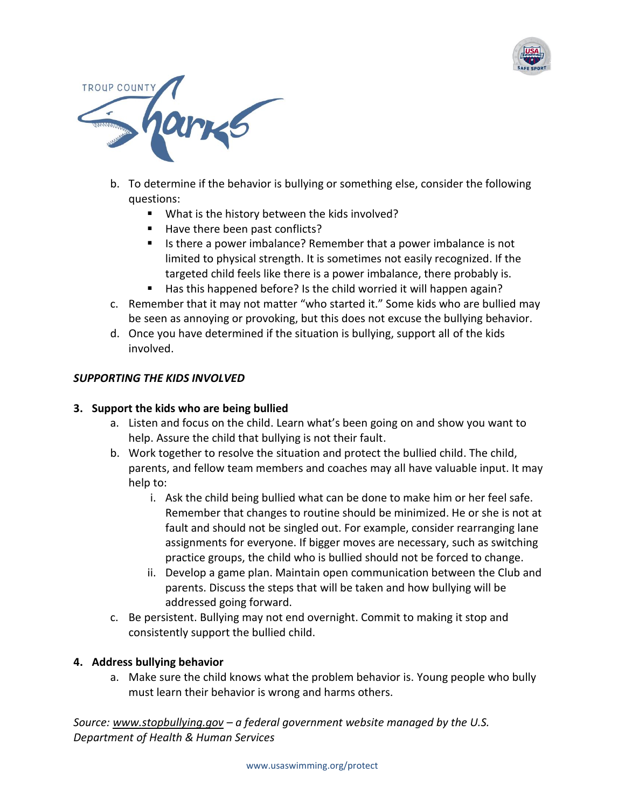



- b. To determine if the behavior is bullying or something else, consider the following questions:
	- What is the history between the kids involved?
	- Have there been past conflicts?
	- Is there a power imbalance? Remember that a power imbalance is not limited to physical strength. It is sometimes not easily recognized. If the targeted child feels like there is a power imbalance, there probably is.
	- Has this happened before? Is the child worried it will happen again?
- c. Remember that it may not matter "who started it." Some kids who are bullied may be seen as annoying or provoking, but this does not excuse the bullying behavior.
- d. Once you have determined if the situation is bullying, support all of the kids involved.

### *SUPPORTING THE KIDS INVOLVED*

# **3. Support the kids who are being bullied**

- a. Listen and focus on the child. Learn what's been going on and show you want to help. Assure the child that bullying is not their fault.
- b. Work together to resolve the situation and protect the bullied child. The child, parents, and fellow team members and coaches may all have valuable input. It may help to:
	- i. Ask the child being bullied what can be done to make him or her feel safe. Remember that changes to routine should be minimized. He or she is not at fault and should not be singled out. For example, consider rearranging lane assignments for everyone. If bigger moves are necessary, such as switching practice groups, the child who is bullied should not be forced to change.
	- ii. Develop a game plan. Maintain open communication between the Club and parents. Discuss the steps that will be taken and how bullying will be addressed going forward.
- c. Be persistent. Bullying may not end overnight. Commit to making it stop and consistently support the bullied child.

# **4. Address bullying behavior**

a. Make sure the child knows what the problem behavior is. Young people who bully must learn their behavior is wrong and harms others.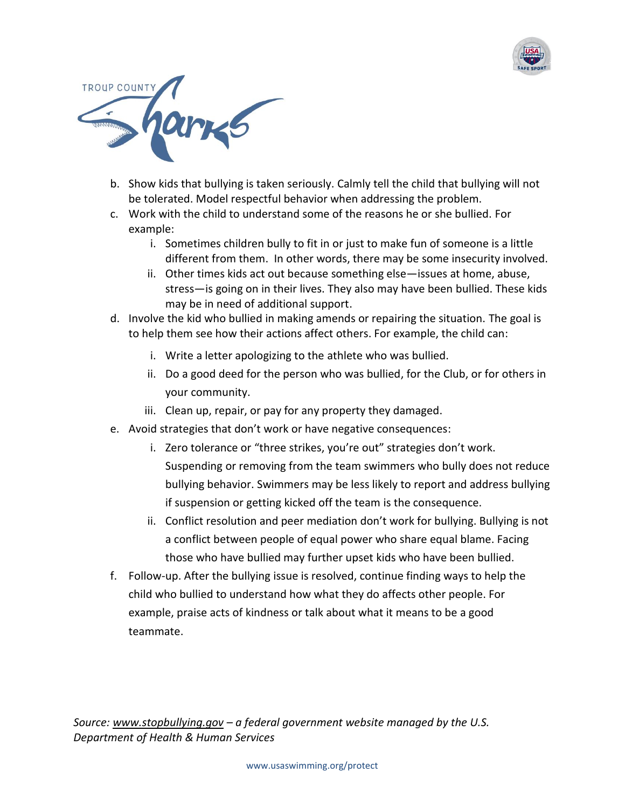



- b. Show kids that bullying is taken seriously. Calmly tell the child that bullying will not be tolerated. Model respectful behavior when addressing the problem.
- c. Work with the child to understand some of the reasons he or she bullied. For example:
	- i. Sometimes children bully to fit in or just to make fun of someone is a little different from them. In other words, there may be some insecurity involved.
	- ii. Other times kids act out because something else—issues at home, abuse, stress—is going on in their lives. They also may have been bullied. These kids may be in need of additional support.
- d. Involve the kid who bullied in making amends or repairing the situation. The goal is to help them see how their actions affect others. For example, the child can:
	- i. Write a letter apologizing to the athlete who was bullied.
	- ii. Do a good deed for the person who was bullied, for the Club, or for others in your community.
	- iii. Clean up, repair, or pay for any property they damaged.
- e. Avoid strategies that don't work or have negative consequences:
	- i. Zero tolerance or "three strikes, you're out" strategies don't work. Suspending or removing from the team swimmers who bully does not reduce bullying behavior. Swimmers may be less likely to report and address bullying if suspension or getting kicked off the team is the consequence.
	- ii. Conflict resolution and peer mediation don't work for bullying. Bullying is not a conflict between people of equal power who share equal blame. Facing those who have bullied may further upset kids who have been bullied.
- f. Follow-up. After the bullying issue is resolved, continue finding ways to help the child who bullied to understand how what they do affects other people. For example, praise acts of kindness or talk about what it means to be a good teammate.